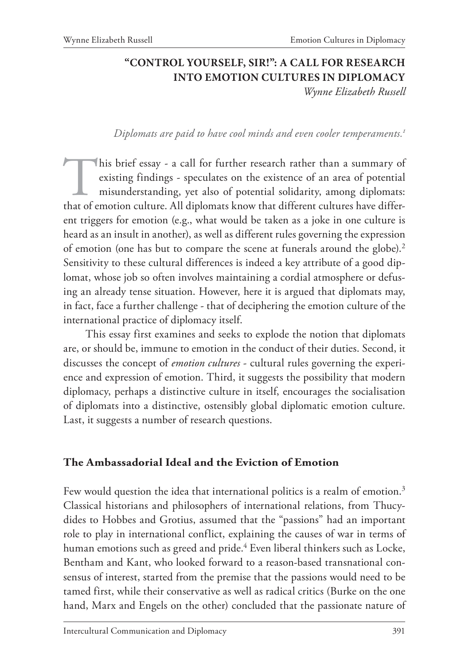## **"CONTROL YOURSELF, SIR!": A CALL FOR RESEARCH INTO EMOTION CULTURES IN DIPLOMACY**

*Wynne Elizabeth Russell*

#### *Diplomats are paid to have cool minds and even cooler temperaments.1*

This brief essay - a call for further research rather than a summary of existing findings - speculates on the existence of an area of potential misunderstanding, yet also of potential solidarity, among diplomats: that of emotion culture. All diplomats know that different cultures have different triggers for emotion (e.g., what would be taken as a joke in one culture is heard as an insult in another), as well as different rules governing the expression of emotion (one has but to compare the scene at funerals around the globe).<sup>2</sup> Sensitivity to these cultural differences is indeed a key attribute of a good diplomat, whose job so often involves maintaining a cordial atmosphere or defusing an already tense situation. However, here it is argued that diplomats may, in fact, face a further challenge - that of deciphering the emotion culture of the international practice of diplomacy itself.

This essay first examines and seeks to explode the notion that diplomats are, or should be, immune to emotion in the conduct of their duties. Second, it discusses the concept of *emotion cultures* - cultural rules governing the experience and expression of emotion. Third, it suggests the possibility that modern diplomacy, perhaps a distinctive culture in itself, encourages the socialisation of diplomats into a distinctive, ostensibly global diplomatic emotion culture. Last, it suggests a number of research questions.

#### **The Ambassadorial Ideal and the Eviction of Emotion**

Few would question the idea that international politics is a realm of emotion.<sup>3</sup> Classical historians and philosophers of international relations, from Thucydides to Hobbes and Grotius, assumed that the "passions" had an important role to play in international conflict, explaining the causes of war in terms of human emotions such as greed and pride.<sup>4</sup> Even liberal thinkers such as Locke, Bentham and Kant, who looked forward to a reason-based transnational consensus of interest, started from the premise that the passions would need to be tamed first, while their conservative as well as radical critics (Burke on the one hand, Marx and Engels on the other) concluded that the passionate nature of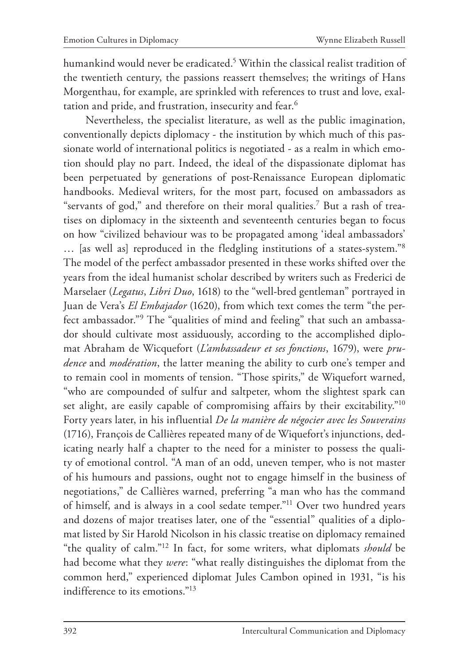humankind would never be eradicated.5 Within the classical realist tradition of the twentieth century, the passions reassert themselves; the writings of Hans Morgenthau, for example, are sprinkled with references to trust and love, exaltation and pride, and frustration, insecurity and fear.6

Nevertheless, the specialist literature, as well as the public imagination, conventionally depicts diplomacy - the institution by which much of this passionate world of international politics is negotiated - as a realm in which emotion should play no part. Indeed, the ideal of the dispassionate diplomat has been perpetuated by generations of post-Renaissance European diplomatic handbooks. Medieval writers, for the most part, focused on ambassadors as "servants of god," and therefore on their moral qualities.7 But a rash of treatises on diplomacy in the sixteenth and seventeenth centuries began to focus on how "civilized behaviour was to be propagated among 'ideal ambassadors' … [as well as] reproduced in the fledgling institutions of a states-system."8 The model of the perfect ambassador presented in these works shifted over the years from the ideal humanist scholar described by writers such as Frederici de Marselaer (*Legatus*, *Libri Duo*, 1618) to the "well-bred gentleman" portrayed in Juan de Vera's *El Embajador* (1620), from which text comes the term "the perfect ambassador."9 The "qualities of mind and feeling" that such an ambassador should cultivate most assiduously, according to the accomplished diplomat Abraham de Wicquefort (*L'ambassadeur et ses fonctions*, 1679), were *prudence* and *modération*, the latter meaning the ability to curb one's temper and to remain cool in moments of tension. "Those spirits," de Wiquefort warned, "who are compounded of sulfur and saltpeter, whom the slightest spark can set alight, are easily capable of compromising affairs by their excitability."10 Forty years later, in his influential *De la manière de négocier avec les Souverains* (1716), François de Callières repeated many of de Wiquefort's injunctions, dedicating nearly half a chapter to the need for a minister to possess the quality of emotional control. "A man of an odd, uneven temper, who is not master of his humours and passions, ought not to engage himself in the business of negotiations," de Callières warned, preferring "a man who has the command of himself, and is always in a cool sedate temper."11 Over two hundred years and dozens of major treatises later, one of the "essential" qualities of a diplomat listed by Sir Harold Nicolson in his classic treatise on diplomacy remained "the quality of calm."12 In fact, for some writers, what diplomats *should* be had become what they *were*: "what really distinguishes the diplomat from the common herd," experienced diplomat Jules Cambon opined in 1931, "is his indifference to its emotions."13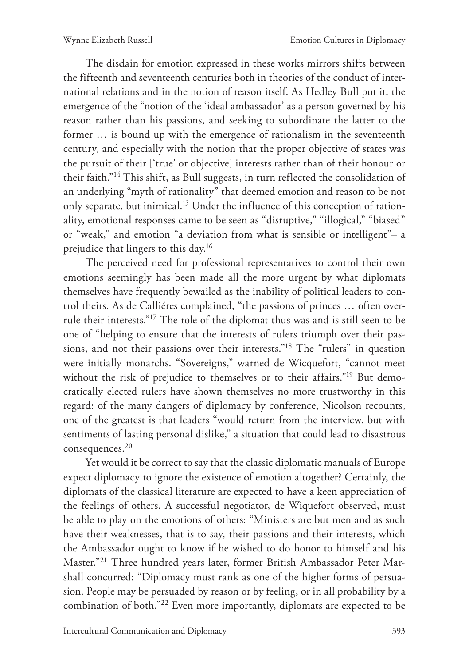The disdain for emotion expressed in these works mirrors shifts between the fifteenth and seventeenth centuries both in theories of the conduct of international relations and in the notion of reason itself. As Hedley Bull put it, the emergence of the "notion of the 'ideal ambassador' as a person governed by his reason rather than his passions, and seeking to subordinate the latter to the former … is bound up with the emergence of rationalism in the seventeenth century, and especially with the notion that the proper objective of states was the pursuit of their ['true' or objective] interests rather than of their honour or their faith."14 This shift, as Bull suggests, in turn reflected the consolidation of an underlying "myth of rationality" that deemed emotion and reason to be not only separate, but inimical.<sup>15</sup> Under the influence of this conception of rationality, emotional responses came to be seen as "disruptive," "illogical," "biased" or "weak," and emotion "a deviation from what is sensible or intelligent"– a prejudice that lingers to this day.16

The perceived need for professional representatives to control their own emotions seemingly has been made all the more urgent by what diplomats themselves have frequently bewailed as the inability of political leaders to control theirs. As de Calliéres complained, "the passions of princes … often overrule their interests."17 The role of the diplomat thus was and is still seen to be one of "helping to ensure that the interests of rulers triumph over their passions, and not their passions over their interests."18 The "rulers" in question were initially monarchs. "Sovereigns," warned de Wicquefort, "cannot meet without the risk of prejudice to themselves or to their affairs."19 But democratically elected rulers have shown themselves no more trustworthy in this regard: of the many dangers of diplomacy by conference, Nicolson recounts, one of the greatest is that leaders "would return from the interview, but with sentiments of lasting personal dislike," a situation that could lead to disastrous consequences.20

Yet would it be correct to say that the classic diplomatic manuals of Europe expect diplomacy to ignore the existence of emotion altogether? Certainly, the diplomats of the classical literature are expected to have a keen appreciation of the feelings of others. A successful negotiator, de Wiquefort observed, must be able to play on the emotions of others: "Ministers are but men and as such have their weaknesses, that is to say, their passions and their interests, which the Ambassador ought to know if he wished to do honor to himself and his Master."21 Three hundred years later, former British Ambassador Peter Marshall concurred: "Diplomacy must rank as one of the higher forms of persuasion. People may be persuaded by reason or by feeling, or in all probability by a combination of both."22 Even more importantly, diplomats are expected to be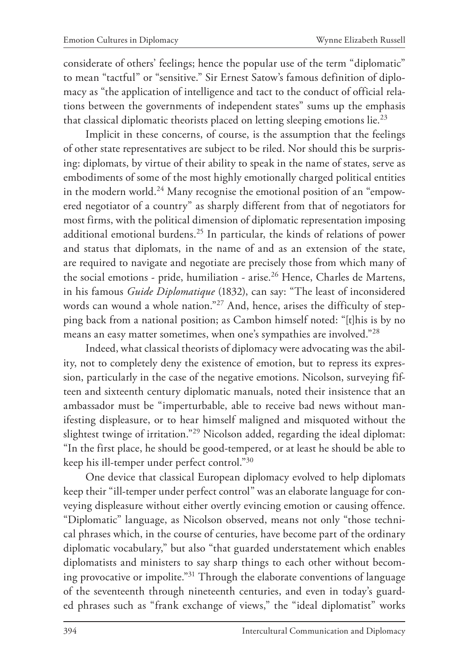considerate of others' feelings; hence the popular use of the term "diplomatic" to mean "tactful" or "sensitive." Sir Ernest Satow's famous definition of diplomacy as "the application of intelligence and tact to the conduct of official relations between the governments of independent states" sums up the emphasis that classical diplomatic theorists placed on letting sleeping emotions lie.<sup>23</sup>

Implicit in these concerns, of course, is the assumption that the feelings of other state representatives are subject to be riled. Nor should this be surprising: diplomats, by virtue of their ability to speak in the name of states, serve as embodiments of some of the most highly emotionally charged political entities in the modern world.<sup>24</sup> Many recognise the emotional position of an "empowered negotiator of a country" as sharply different from that of negotiators for most firms, with the political dimension of diplomatic representation imposing additional emotional burdens.25 In particular, the kinds of relations of power and status that diplomats, in the name of and as an extension of the state, are required to navigate and negotiate are precisely those from which many of the social emotions - pride, humiliation - arise.<sup>26</sup> Hence, Charles de Martens, in his famous *Guide Diplomatique* (1832), can say: "The least of inconsidered words can wound a whole nation."27 And, hence, arises the difficulty of stepping back from a national position; as Cambon himself noted: "[t]his is by no means an easy matter sometimes, when one's sympathies are involved."28

Indeed, what classical theorists of diplomacy were advocating was the ability, not to completely deny the existence of emotion, but to repress its expression, particularly in the case of the negative emotions. Nicolson, surveying fifteen and sixteenth century diplomatic manuals, noted their insistence that an ambassador must be "imperturbable, able to receive bad news without manifesting displeasure, or to hear himself maligned and misquoted without the slightest twinge of irritation."29 Nicolson added, regarding the ideal diplomat: "In the first place, he should be good-tempered, or at least he should be able to keep his ill-temper under perfect control."30

One device that classical European diplomacy evolved to help diplomats keep their "ill-temper under perfect control" was an elaborate language for conveying displeasure without either overtly evincing emotion or causing offence. "Diplomatic" language, as Nicolson observed, means not only "those technical phrases which, in the course of centuries, have become part of the ordinary diplomatic vocabulary," but also "that guarded understatement which enables diplomatists and ministers to say sharp things to each other without becoming provocative or impolite."31 Through the elaborate conventions of language of the seventeenth through nineteenth centuries, and even in today's guarded phrases such as "frank exchange of views," the "ideal diplomatist" works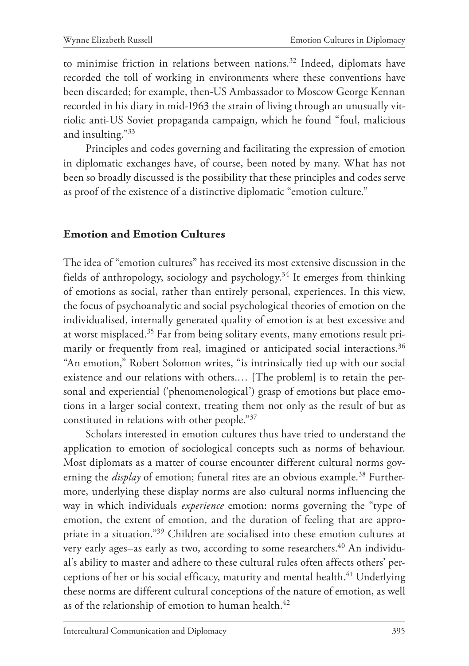to minimise friction in relations between nations.<sup>32</sup> Indeed, diplomats have recorded the toll of working in environments where these conventions have been discarded; for example, then-US Ambassador to Moscow George Kennan recorded in his diary in mid-1963 the strain of living through an unusually vitriolic anti-US Soviet propaganda campaign, which he found "foul, malicious and insulting."33

Principles and codes governing and facilitating the expression of emotion in diplomatic exchanges have, of course, been noted by many. What has not been so broadly discussed is the possibility that these principles and codes serve as proof of the existence of a distinctive diplomatic "emotion culture."

#### **Emotion and Emotion Cultures**

The idea of "emotion cultures" has received its most extensive discussion in the fields of anthropology, sociology and psychology.34 It emerges from thinking of emotions as social, rather than entirely personal, experiences. In this view, the focus of psychoanalytic and social psychological theories of emotion on the individualised, internally generated quality of emotion is at best excessive and at worst misplaced.<sup>35</sup> Far from being solitary events, many emotions result primarily or frequently from real, imagined or anticipated social interactions.<sup>36</sup> "An emotion," Robert Solomon writes, "is intrinsically tied up with our social existence and our relations with others.… [The problem] is to retain the personal and experiential ('phenomenological') grasp of emotions but place emotions in a larger social context, treating them not only as the result of but as constituted in relations with other people."37

Scholars interested in emotion cultures thus have tried to understand the application to emotion of sociological concepts such as norms of behaviour. Most diplomats as a matter of course encounter different cultural norms governing the *display* of emotion; funeral rites are an obvious example.<sup>38</sup> Furthermore, underlying these display norms are also cultural norms influencing the way in which individuals *experience* emotion: norms governing the "type of emotion, the extent of emotion, and the duration of feeling that are appropriate in a situation."39 Children are socialised into these emotion cultures at very early ages–as early as two, according to some researchers.<sup>40</sup> An individual's ability to master and adhere to these cultural rules often affects others' perceptions of her or his social efficacy, maturity and mental health.<sup>41</sup> Underlying these norms are different cultural conceptions of the nature of emotion, as well as of the relationship of emotion to human health.<sup>42</sup>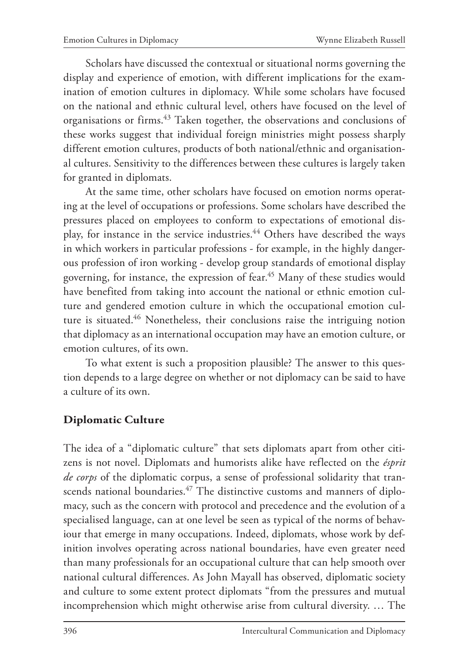Scholars have discussed the contextual or situational norms governing the display and experience of emotion, with different implications for the examination of emotion cultures in diplomacy. While some scholars have focused on the national and ethnic cultural level, others have focused on the level of organisations or firms.43 Taken together, the observations and conclusions of these works suggest that individual foreign ministries might possess sharply different emotion cultures, products of both national/ethnic and organisational cultures. Sensitivity to the differences between these cultures is largely taken for granted in diplomats.

At the same time, other scholars have focused on emotion norms operating at the level of occupations or professions. Some scholars have described the pressures placed on employees to conform to expectations of emotional display, for instance in the service industries.<sup>44</sup> Others have described the ways in which workers in particular professions - for example, in the highly dangerous profession of iron working - develop group standards of emotional display governing, for instance, the expression of fear.<sup>45</sup> Many of these studies would have benefited from taking into account the national or ethnic emotion culture and gendered emotion culture in which the occupational emotion culture is situated.<sup>46</sup> Nonetheless, their conclusions raise the intriguing notion that diplomacy as an international occupation may have an emotion culture, or emotion cultures, of its own.

To what extent is such a proposition plausible? The answer to this question depends to a large degree on whether or not diplomacy can be said to have a culture of its own.

### **Diplomatic Culture**

The idea of a "diplomatic culture" that sets diplomats apart from other citizens is not novel. Diplomats and humorists alike have reflected on the *ésprit de corps* of the diplomatic corpus, a sense of professional solidarity that transcends national boundaries.<sup>47</sup> The distinctive customs and manners of diplomacy, such as the concern with protocol and precedence and the evolution of a specialised language, can at one level be seen as typical of the norms of behaviour that emerge in many occupations. Indeed, diplomats, whose work by definition involves operating across national boundaries, have even greater need than many professionals for an occupational culture that can help smooth over national cultural differences. As John Mayall has observed, diplomatic society and culture to some extent protect diplomats "from the pressures and mutual incomprehension which might otherwise arise from cultural diversity. … The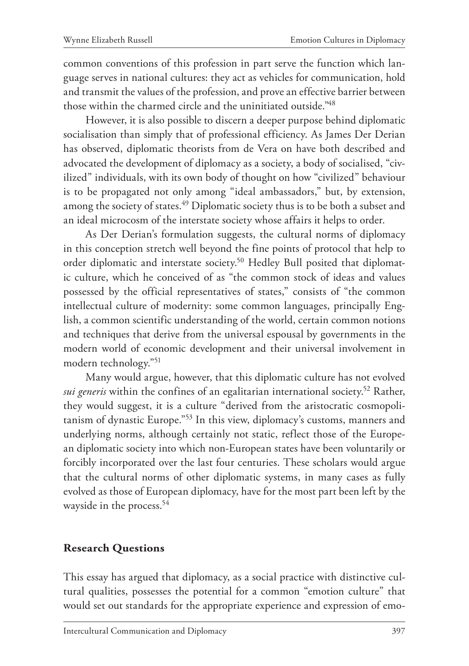common conventions of this profession in part serve the function which language serves in national cultures: they act as vehicles for communication, hold and transmit the values of the profession, and prove an effective barrier between those within the charmed circle and the uninitiated outside."48

However, it is also possible to discern a deeper purpose behind diplomatic socialisation than simply that of professional efficiency. As James Der Derian has observed, diplomatic theorists from de Vera on have both described and advocated the development of diplomacy as a society, a body of socialised, "civilized" individuals, with its own body of thought on how "civilized" behaviour is to be propagated not only among "ideal ambassadors," but, by extension, among the society of states.<sup>49</sup> Diplomatic society thus is to be both a subset and an ideal microcosm of the interstate society whose affairs it helps to order.

As Der Derian's formulation suggests, the cultural norms of diplomacy in this conception stretch well beyond the fine points of protocol that help to order diplomatic and interstate society.50 Hedley Bull posited that diplomatic culture, which he conceived of as "the common stock of ideas and values possessed by the official representatives of states," consists of "the common intellectual culture of modernity: some common languages, principally English, a common scientific understanding of the world, certain common notions and techniques that derive from the universal espousal by governments in the modern world of economic development and their universal involvement in modern technology."51

Many would argue, however, that this diplomatic culture has not evolved *sui generis* within the confines of an egalitarian international society.52 Rather, they would suggest, it is a culture "derived from the aristocratic cosmopolitanism of dynastic Europe."53 In this view, diplomacy's customs, manners and underlying norms, although certainly not static, reflect those of the European diplomatic society into which non-European states have been voluntarily or forcibly incorporated over the last four centuries. These scholars would argue that the cultural norms of other diplomatic systems, in many cases as fully evolved as those of European diplomacy, have for the most part been left by the wayside in the process.<sup>54</sup>

### **Research Questions**

This essay has argued that diplomacy, as a social practice with distinctive cultural qualities, possesses the potential for a common "emotion culture" that would set out standards for the appropriate experience and expression of emo-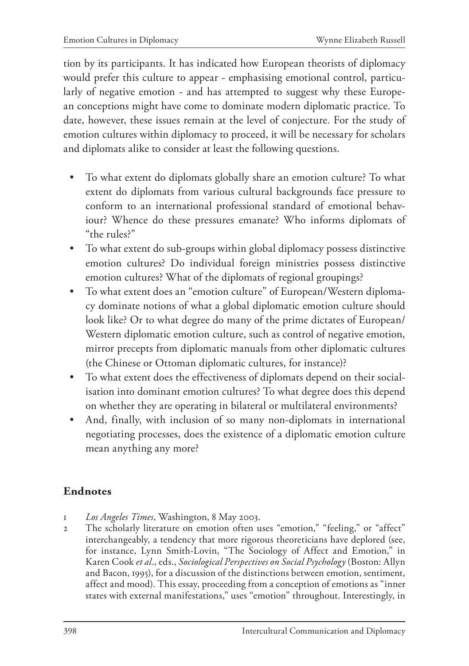tion by its participants. It has indicated how European theorists of diplomacy would prefer this culture to appear - emphasising emotional control, particularly of negative emotion - and has attempted to suggest why these European conceptions might have come to dominate modern diplomatic practice. To date, however, these issues remain at the level of conjecture. For the study of emotion cultures within diplomacy to proceed, it will be necessary for scholars and diplomats alike to consider at least the following questions.

- To what extent do diplomats globally share an emotion culture? To what extent do diplomats from various cultural backgrounds face pressure to conform to an international professional standard of emotional behaviour? Whence do these pressures emanate? Who informs diplomats of "the rules?"
- To what extent do sub-groups within global diplomacy possess distinctive emotion cultures? Do individual foreign ministries possess distinctive emotion cultures? What of the diplomats of regional groupings?
- To what extent does an "emotion culture" of European/Western diplomacy dominate notions of what a global diplomatic emotion culture should look like? Or to what degree do many of the prime dictates of European/ Western diplomatic emotion culture, such as control of negative emotion, mirror precepts from diplomatic manuals from other diplomatic cultures (the Chinese or Ottoman diplomatic cultures, for instance)?
- To what extent does the effectiveness of diplomats depend on their socialisation into dominant emotion cultures? To what degree does this depend on whether they are operating in bilateral or multilateral environments?
- And, finally, with inclusion of so many non-diplomats in international negotiating processes, does the existence of a diplomatic emotion culture mean anything any more?

### **Endnotes**

- 1 *Los Angeles Times*, Washington, 8 May 2003.
- 2 The scholarly literature on emotion often uses "emotion," "feeling," or "affect" interchangeably, a tendency that more rigorous theoreticians have deplored (see, for instance, Lynn Smith-Lovin, "The Sociology of Affect and Emotion," in Karen Cook *et al*., eds., *Sociological Perspectives on Social Psychology* (Boston: Allyn and Bacon, 1995), for a discussion of the distinctions between emotion, sentiment, affect and mood). This essay, proceeding from a conception of emotions as "inner states with external manifestations," uses "emotion" throughout. Interestingly, in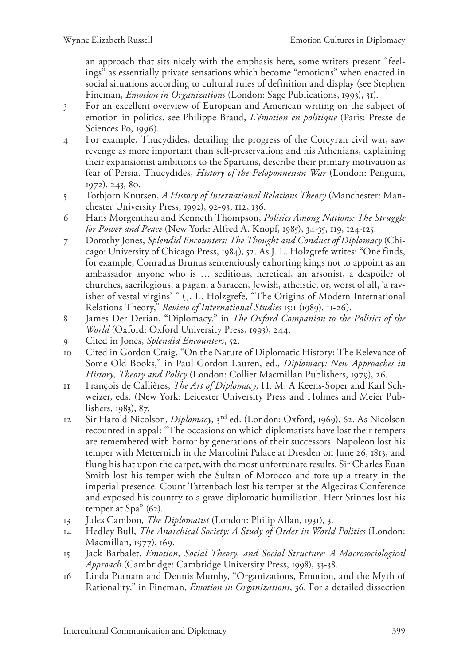an approach that sits nicely with the emphasis here, some writers present "feelings" as essentially private sensations which become "emotions" when enacted in social situations according to cultural rules of definition and display (see Stephen Fineman, *Emotion in Organizations* (London: Sage Publications, 1993), 31).

- 3 For an excellent overview of European and American writing on the subject of emotion in politics, see Philippe Braud, *L'émotion en politique* (Paris: Presse de Sciences Po, 1996).
- 4 For example, Thucydides, detailing the progress of the Corcyran civil war, saw revenge as more important than self-preservation; and his Athenians, explaining their expansionist ambitions to the Spartans, describe their primary motivation as fear of Persia. Thucydides, *History of the Peloponnesian War* (London: Penguin, 1972), 243, 80.
- 5 Torbjorn Knutsen, *A History of International Relations Theory* (Manchester: Manchester University Press, 1992), 92-93, 112, 136.
- 6 Hans Morgenthau and Kenneth Thompson, *Politics Among Nations: The Struggle for Power and Peace* (New York: Alfred A. Knopf, 1985), 34-35, 119, 124-125.
- 7 Dorothy Jones, *Splendid Encounters: The Thought and Conduct of Diplomacy* (Chicago: University of Chicago Press, 1984), 52. As J. L. Holzgrefe writes: "One finds, for example, Conradus Brunus sententiously exhorting kings not to appoint as an ambassador anyone who is … seditious, heretical, an arsonist, a despoiler of churches, sacrilegious, a pagan, a Saracen, Jewish, atheistic, or, worst of all, 'a ravisher of vestal virgins' " (J. L. Holzgrefe, "The Origins of Modern International Relations Theory," *Review of International Studies* 15:1 (1989), 11-26).
- 8 James Der Derian, "Diplomacy," in *The Oxford Companion to the Politics of the World* (Oxford: Oxford University Press, 1993), 244.
- 9 Cited in Jones, *Splendid Encounters*, 52.
- 10 Cited in Gordon Craig, "On the Nature of Diplomatic History: The Relevance of Some Old Books," in Paul Gordon Lauren, ed., *Diplomacy: New Approaches in History, Theory and Policy* (London: Collier Macmillan Publishers, 1979), 26.
- 11 François de Callières, *The Art of Diplomacy*, H. M. A Keens-Soper and Karl Schweizer, eds. (New York: Leicester University Press and Holmes and Meier Publishers, 1983), 87.
- 12 Sir Harold Nicolson, *Diplomacy*, 3rd ed. (London: Oxford, 1969), 62. As Nicolson recounted in appal: "The occasions on which diplomatists have lost their tempers are remembered with horror by generations of their successors. Napoleon lost his temper with Metternich in the Marcolini Palace at Dresden on June 26, 1813, and flung his hat upon the carpet, with the most unfortunate results. Sir Charles Euan Smith lost his temper with the Sultan of Morocco and tore up a treaty in the imperial presence. Count Tattenbach lost his temper at the Algeciras Conference and exposed his country to a grave diplomatic humiliation. Herr Stinnes lost his temper at Spa" (62).
- 13 Jules Cambon, *The Diplomatist* (London: Philip Allan, 1931), 3.
- 14 Hedley Bull, *The Anarchical Society: A Study of Order in World Politics* (London: Macmillan, 1977), 169.
- 15 Jack Barbalet, *Emotion, Social Theory, and Social Structure: A Macrosociological Approach* (Cambridge: Cambridge University Press, 1998), 33-38.
- 16 Linda Putnam and Dennis Mumby, "Organizations, Emotion, and the Myth of Rationality," in Fineman, *Emotion in Organizations*, 36. For a detailed dissection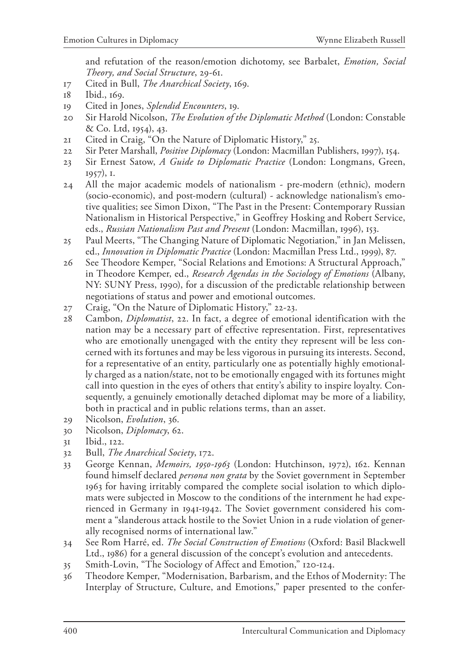and refutation of the reason/emotion dichotomy, see Barbalet, *Emotion, Social Theory, and Social Structure*, 29-61.

17 Cited in Bull, *The Anarchical Society*, 169.

- 19 Cited in Jones, *Splendid Encounters*, 19.
- 20 Sir Harold Nicolson, *The Evolution of the Diplomatic Method* (London: Constable & Co. Ltd, 1954), 43.
- 21 Cited in Craig, "On the Nature of Diplomatic History," 25.
- 22 Sir Peter Marshall, *Positive Diplomacy* (London: Macmillan Publishers, 1997), 154.
- 23 Sir Ernest Satow, *A Guide to Diplomatic Practice* (London: Longmans, Green, 1957), 1.
- 24 All the major academic models of nationalism pre-modern (ethnic), modern (socio-economic), and post-modern (cultural) - acknowledge nationalism's emotive qualities; see Simon Dixon, "The Past in the Present: Contemporary Russian Nationalism in Historical Perspective," in Geoffrey Hosking and Robert Service, eds., *Russian Nationalism Past and Present* (London: Macmillan, 1996), 153.
- 25 Paul Meerts, "The Changing Nature of Diplomatic Negotiation," in Jan Melissen, ed., *Innovation in Diplomatic Practice* (London: Macmillan Press Ltd., 1999), 87.
- 26 See Theodore Kemper, "Social Relations and Emotions: A Structural Approach," in Theodore Kemper, ed., *Research Agendas in the Sociology of Emotions* (Albany, NY: SUNY Press, 1990), for a discussion of the predictable relationship between negotiations of status and power and emotional outcomes.
- 27 Craig, "On the Nature of Diplomatic History," 22-23.
- 28 Cambon, *Diplomatist*, 22. In fact, a degree of emotional identification with the nation may be a necessary part of effective representation. First, representatives who are emotionally unengaged with the entity they represent will be less concerned with its fortunes and may be less vigorous in pursuing its interests. Second, for a representative of an entity, particularly one as potentially highly emotionally charged as a nation/state, not to be emotionally engaged with its fortunes might call into question in the eyes of others that entity's ability to inspire loyalty. Consequently, a genuinely emotionally detached diplomat may be more of a liability, both in practical and in public relations terms, than an asset.
- 29 Nicolson, *Evolution*, 36.
- 30 Nicolson, *Diplomacy*, 62.
- 31 Ibid., 122.
- 32 Bull, *The Anarchical Society*, 172.
- 33 George Kennan, *Memoirs, 1950-1963* (London: Hutchinson, 1972), 162. Kennan found himself declared *persona non grata* by the Soviet government in September 1963 for having irritably compared the complete social isolation to which diplomats were subjected in Moscow to the conditions of the internment he had experienced in Germany in 1941-1942. The Soviet government considered his comment a "slanderous attack hostile to the Soviet Union in a rude violation of generally recognised norms of international law."
- 34 See Rom Harré, ed. *The Social Construction of Emotions* (Oxford: Basil Blackwell Ltd., 1986) for a general discussion of the concept's evolution and antecedents.
- 35 Smith-Lovin, "The Sociology of Affect and Emotion," 120-124.
- 36 Theodore Kemper, "Modernisation, Barbarism, and the Ethos of Modernity: The Interplay of Structure, Culture, and Emotions," paper presented to the confer-

<sup>18</sup> Ibid., 169.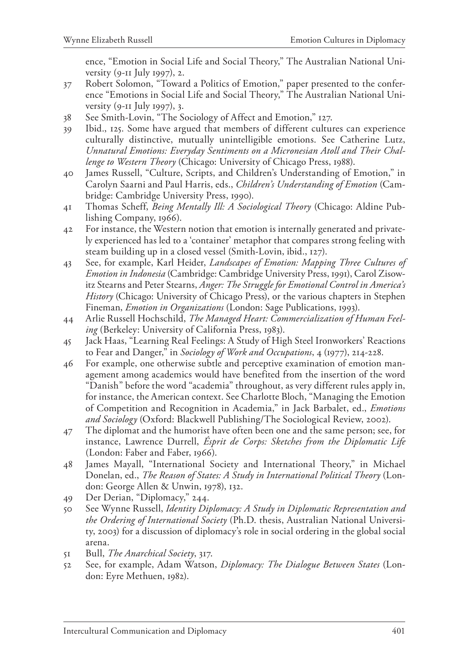ence, "Emotion in Social Life and Social Theory," The Australian National University (9-11 July 1997), 2.

- 37 Robert Solomon, "Toward a Politics of Emotion," paper presented to the conference "Emotions in Social Life and Social Theory," The Australian National University (9-11 July 1997), 3.
- 38 See Smith-Lovin, "The Sociology of Affect and Emotion," 127.
- 39 Ibid., 125. Some have argued that members of different cultures can experience culturally distinctive, mutually unintelligible emotions. See Catherine Lutz, *Unnatural Emotions: Everyday Sentiments on a Micronesian Atoll and Their Challenge to Western Theory* (Chicago: University of Chicago Press, 1988).
- 40 James Russell, "Culture, Scripts, and Children's Understanding of Emotion," in Carolyn Saarni and Paul Harris, eds., *Children's Understanding of Emotion* (Cambridge: Cambridge University Press, 1990).
- 41 Thomas Scheff, *Being Mentally Ill: A Sociological Theory* (Chicago: Aldine Publishing Company, 1966).
- 42 For instance, the Western notion that emotion is internally generated and privately experienced has led to a 'container' metaphor that compares strong feeling with steam building up in a closed vessel (Smith-Lovin, ibid., 127).
- 43 See, for example, Karl Heider, *Landscapes of Emotion: Mapping Three Cultures of Emotion in Indonesia* (Cambridge: Cambridge University Press, 1991), Carol Zisowitz Stearns and Peter Stearns, *Anger: The Struggle for Emotional Control in America's History* (Chicago: University of Chicago Press), or the various chapters in Stephen Fineman, *Emotion in Organizations* (London: Sage Publications, 1993).
- 44 Arlie Russell Hochschild, *The Managed Heart: Commercialization of Human Feeling* (Berkeley: University of California Press, 1983).
- 45 Jack Haas, "Learning Real Feelings: A Study of High Steel Ironworkers' Reactions to Fear and Danger," in *Sociology of Work and Occupations*, 4 (1977), 214-228.
- 46 For example, one otherwise subtle and perceptive examination of emotion management among academics would have benefited from the insertion of the word "Danish" before the word "academia" throughout, as very different rules apply in, for instance, the American context. See Charlotte Bloch, "Managing the Emotion of Competition and Recognition in Academia," in Jack Barbalet, ed., *Emotions and Sociology* (Oxford: Blackwell Publishing/The Sociological Review, 2002).
- 47 The diplomat and the humorist have often been one and the same person; see, for instance, Lawrence Durrell, *Ésprit de Corps: Sketches from the Diplomatic Life*  (London: Faber and Faber, 1966).
- 48 James Mayall, "International Society and International Theory," in Michael Donelan, ed., *The Reason of States: A Study in International Political Theory* (London: George Allen & Unwin, 1978), 132.
- 49 Der Derian, "Diplomacy," 244.
- 50 See Wynne Russell, *Identity Diplomacy: A Study in Diplomatic Representation and the Ordering of International Society* (Ph.D. thesis, Australian National University, 2003) for a discussion of diplomacy's role in social ordering in the global social arena.
- 51 Bull, *The Anarchical Society*, 317.
- 52 See, for example, Adam Watson, *Diplomacy: The Dialogue Between States* (London: Eyre Methuen, 1982).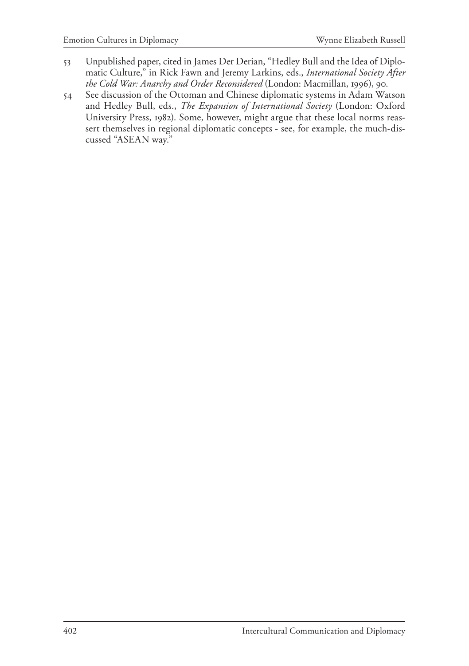- 53 Unpublished paper, cited in James Der Derian, "Hedley Bull and the Idea of Diplomatic Culture," in Rick Fawn and Jeremy Larkins, eds., *International Society After the Cold War: Anarchy and Order Reconsidered* (London: Macmillan, 1996), 90.
- 54 See discussion of the Ottoman and Chinese diplomatic systems in Adam Watson and Hedley Bull, eds., *The Expansion of International Society* (London: Oxford University Press, 1982). Some, however, might argue that these local norms reassert themselves in regional diplomatic concepts - see, for example, the much-discussed "ASEAN way."